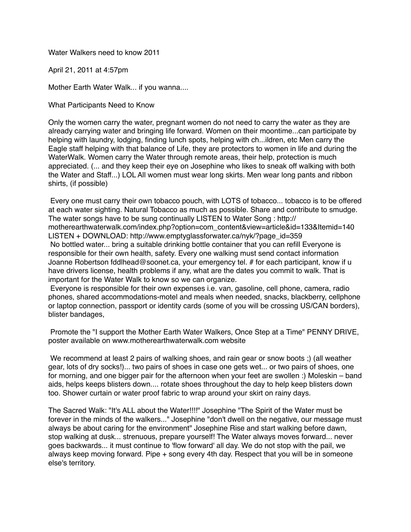Water Walkers need to know 2011

April 21, 2011 at 4:57pm

Mother Earth Water Walk... if you wanna....

What Participants Need to Know

Only the women carry the water, pregnant women do not need to carry the water as they are already carrying water and bringing life forward. Women on their moontime...can participate by helping with laundry, lodging, finding lunch spots, helping with ch...ildren, etc Men carry the Eagle staff helping with that balance of Life, they are protectors to women in life and during the WaterWalk. Women carry the Water through remote areas, their help, protection is much appreciated. (... and they keep their eye on Josephine who likes to sneak off walking with both the Water and Staff...) LOL All women must wear long skirts. Men wear long pants and ribbon shirts, (if possible)

 Every one must carry their own tobacco pouch, with LOTS of tobacco... tobacco is to be offered at each water sighting. Natural Tobacco as much as possible. Share and contribute to smudge. The water songs have to be sung continually LISTEN to Water Song : http:// motherearthwaterwalk.com/index.php?option=com\_content&view=article&id=133&Itemid=140 LISTEN + DOWNLOAD: http://www.emptyglassforwater.ca/nyk/?page\_id=359 No bottled water... bring a suitable drinking bottle container that you can refill Everyone is responsible for their own health, safety. Every one walking must send contact information Joanne Robertson fddlhead@soonet.ca, your emergency tel. # for each participant, know if u have drivers license, health problems if any, what are the dates you commit to walk. That is important for the Water Walk to know so we can organize.

 Everyone is responsible for their own expenses i.e. van, gasoline, cell phone, camera, radio phones, shared accommodations-motel and meals when needed, snacks, blackberry, cellphone or laptop connection, passport or identity cards (some of you will be crossing US/CAN borders), blister bandages,

 Promote the "I support the Mother Earth Water Walkers, Once Step at a Time" PENNY DRIVE, poster available on www.motherearthwaterwalk.com website

 We recommend at least 2 pairs of walking shoes, and rain gear or snow boots ;) (all weather gear, lots of dry socks!)... two pairs of shoes in case one gets wet... or two pairs of shoes, one for morning, and one bigger pair for the afternoon when your feet are swollen :) Moleskin – band aids, helps keeps blisters down.... rotate shoes throughout the day to help keep blisters down too. Shower curtain or water proof fabric to wrap around your skirt on rainy days.

The Sacred Walk: "It's ALL about the Water!!!!" Josephine "The Spirit of the Water must be forever in the minds of the walkers..." Josephine "don't dwell on the negative, our message must always be about caring for the environment" Josephine Rise and start walking before dawn, stop walking at dusk... strenuous, prepare yourself! The Water always moves forward... never goes backwards... it must continue to 'flow forward' all day. We do not stop with the pail, we always keep moving forward. Pipe + song every 4th day. Respect that you will be in someone else's territory.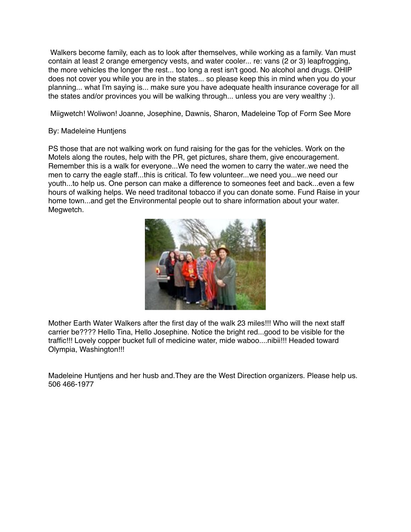Walkers become family, each as to look after themselves, while working as a family. Van must contain at least 2 orange emergency vests, and water cooler... re: vans (2 or 3) leapfrogging, the more vehicles the longer the rest... too long a rest isn't good. No alcohol and drugs. OHIP does not cover you while you are in the states... so please keep this in mind when you do your planning... what I'm saying is... make sure you have adequate health insurance coverage for all the states and/or provinces you will be walking through... unless you are very wealthy :).

Miigwetch! Woliwon! Joanne, Josephine, Dawnis, Sharon, Madeleine Top of Form See More

## By: Madeleine Huntjens

PS those that are not walking work on fund raising for the gas for the vehicles. Work on the Motels along the routes, help with the PR, get pictures, share them, give encouragement. Remember this is a walk for everyone...We need the women to carry the water..we need the men to carry the eagle staff...this is critical. To few volunteer...we need you...we need our youth...to help us. One person can make a difference to someones feet and back...even a few hours of walking helps. We need traditonal tobacco if you can donate some. Fund Raise in your home town...and get the Environmental people out to share information about your water. Megwetch.



Mother Earth Water Walkers after the first day of the walk 23 miles!!! Who will the next staff carrier be???? Hello Tina, Hello Josephine. Notice the bright red...good to be visible for the traffic!!! Lovely copper bucket full of medicine water, mide waboo....nibii!!! Headed toward Olympia, Washington!!!

Madeleine Huntjens and her husb and.They are the West Direction organizers. Please help us. 506 466-1977